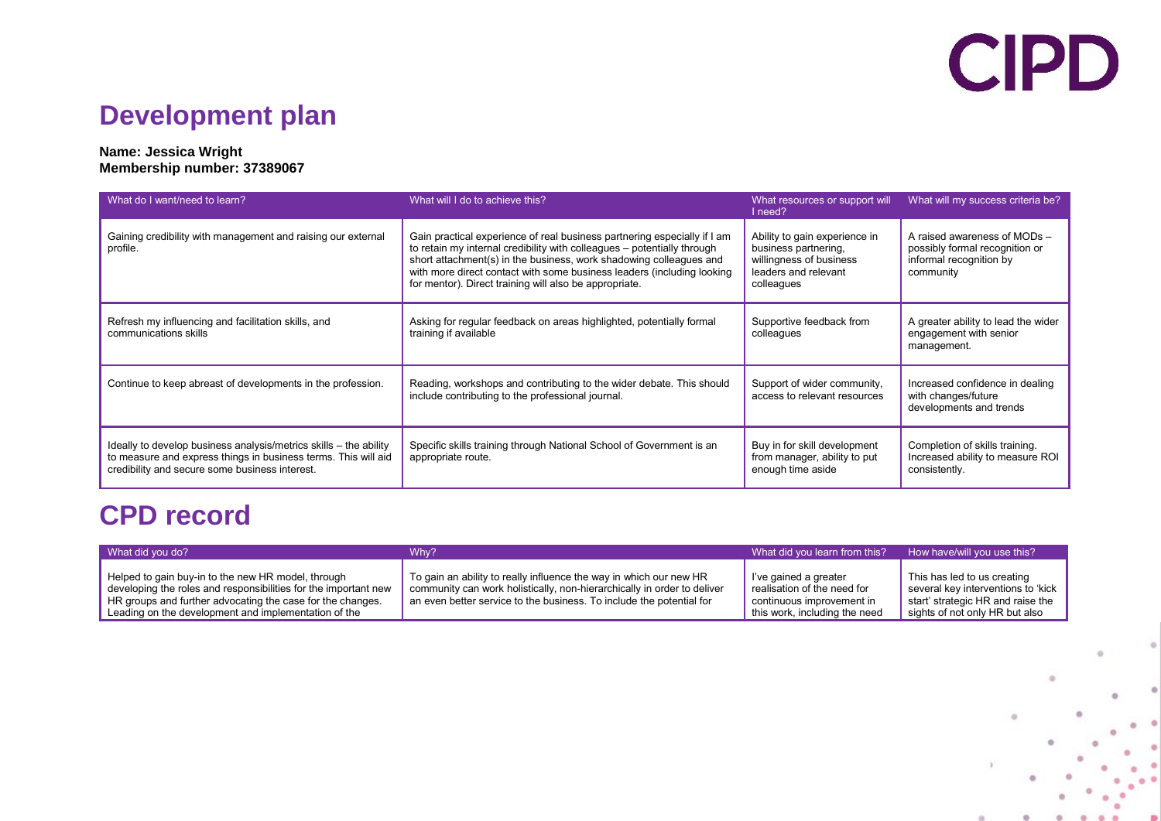## **CIPD**

## **Development plan**

## **Name: Jessica Wright Membership number: 37389067**

| What do I want/need to learn?                                                                                                                                                         | What will I do to achieve this?                                                                                                                                                                                                                                                                                                                               | What resources or support will<br>l need?                                                                              | What will my success criteria be?                                                                      |
|---------------------------------------------------------------------------------------------------------------------------------------------------------------------------------------|---------------------------------------------------------------------------------------------------------------------------------------------------------------------------------------------------------------------------------------------------------------------------------------------------------------------------------------------------------------|------------------------------------------------------------------------------------------------------------------------|--------------------------------------------------------------------------------------------------------|
| Gaining credibility with management and raising our external<br>profile.                                                                                                              | Gain practical experience of real business partnering especially if I am<br>to retain my internal credibility with colleagues - potentially through<br>short attachment(s) in the business, work shadowing colleagues and<br>with more direct contact with some business leaders (including looking<br>for mentor). Direct training will also be appropriate. | Ability to gain experience in<br>business partnering,<br>willingness of business<br>leaders and relevant<br>colleagues | A raised awareness of MODs -<br>possibly formal recognition or<br>informal recognition by<br>community |
| Refresh my influencing and facilitation skills, and<br>communications skills                                                                                                          | Asking for regular feedback on areas highlighted, potentially formal<br>training if available                                                                                                                                                                                                                                                                 | Supportive feedback from<br>colleagues                                                                                 | A greater ability to lead the wider<br>engagement with senior<br>management.                           |
| Continue to keep abreast of developments in the profession.                                                                                                                           | Reading, workshops and contributing to the wider debate. This should<br>include contributing to the professional journal.                                                                                                                                                                                                                                     | Support of wider community,<br>access to relevant resources                                                            | Increased confidence in dealing<br>with changes/future<br>developments and trends                      |
| Ideally to develop business analysis/metrics skills – the ability<br>to measure and express things in business terms. This will aid<br>credibility and secure some business interest. | Specific skills training through National School of Government is an<br>appropriate route.                                                                                                                                                                                                                                                                    | Buy in for skill development<br>from manager, ability to put<br>enough time aside                                      | Completion of skills training.<br>Increased ability to measure ROI<br>consistently.                    |

## **CPD record**

| What did you do?                                                                                                                                                                                                                            | Why?                                                                                                                                                                                                                  | What did you learn from this?                                                                                      | How have/will you use this?                                                                                                              |
|---------------------------------------------------------------------------------------------------------------------------------------------------------------------------------------------------------------------------------------------|-----------------------------------------------------------------------------------------------------------------------------------------------------------------------------------------------------------------------|--------------------------------------------------------------------------------------------------------------------|------------------------------------------------------------------------------------------------------------------------------------------|
| Helped to gain buy-in to the new HR model, through<br>developing the roles and responsibilities for the important new<br>HR groups and further advocating the case for the changes.<br>Leading on the development and implementation of the | To gain an ability to really influence the way in which our new HR<br>community can work holistically, non-hierarchically in order to deliver<br>an even better service to the business. To include the potential for | l've gained a greater<br>realisation of the need for<br>continuous improvement in<br>this work, including the need | This has led to us creating<br>several key interventions to 'kick<br>start' strategic HR and raise the<br>sights of not only HR but also |